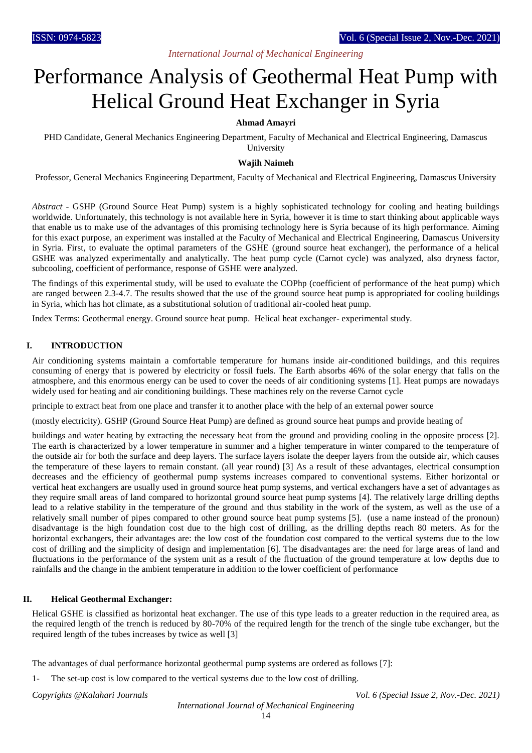# *International Journal of Mechanical Engineering*

# Performance Analysis of Geothermal Heat Pump with Helical Ground Heat Exchanger in Syria

# **Ahmad Amayri**

PHD Candidate, General Mechanics Engineering Department, Faculty of Mechanical and Electrical Engineering, Damascus University

### **Wajih Naimeh**

Professor, General Mechanics Engineering Department, Faculty of Mechanical and Electrical Engineering, Damascus University

*Abstract -* GSHP (Ground Source Heat Pump) system is a highly sophisticated technology for cooling and heating buildings worldwide. Unfortunately, this technology is not available here in Syria, however it is time to start thinking about applicable ways that enable us to make use of the advantages of this promising technology here is Syria because of its high performance. Aiming for this exact purpose, an experiment was installed at the Faculty of Mechanical and Electrical Engineering, Damascus University in Syria. First, to evaluate the optimal parameters of the GSHE (ground source heat exchanger), the performance of a helical GSHE was analyzed experimentally and analytically. The heat pump cycle (Carnot cycle) was analyzed, also dryness factor, subcooling, coefficient of performance, response of GSHE were analyzed.

The findings of this experimental study, will be used to evaluate the COPhp (coefficient of performance of the heat pump) which are ranged between 2.3-4.7. The results showed that the use of the ground source heat pump is appropriated for cooling buildings in Syria, which has hot climate, as a substitutional solution of traditional air-cooled heat pump*.* 

Index Terms: Geothermal energy. Ground source heat pump. Helical heat exchanger- experimental study.

# **I. INTRODUCTION**

Air conditioning systems maintain a comfortable temperature for humans inside air-conditioned buildings, and this requires consuming of energy that is powered by electricity or fossil fuels. The Earth absorbs 46% of the solar energy that falls on the atmosphere, and this enormous energy can be used to cover the needs of air conditioning systems [1]. Heat pumps are nowadays widely used for heating and air conditioning buildings. These machines rely on the reverse Carnot cycle

principle to extract heat from one place and transfer it to another place with the help of an external power source

(mostly electricity). GSHP (Ground Source Heat Pump) are defined as ground source heat pumps and provide heating of

buildings and water heating by extracting the necessary heat from the ground and providing cooling in the opposite process [2]. The earth is characterized by a lower temperature in summer and a higher temperature in winter compared to the temperature of the outside air for both the surface and deep layers. The surface layers isolate the deeper layers from the outside air, which causes the temperature of these layers to remain constant. (all year round) [3] As a result of these advantages, electrical consumption decreases and the efficiency of geothermal pump systems increases compared to conventional systems. Either horizontal or vertical heat exchangers are usually used in ground source heat pump systems, and vertical exchangers have a set of advantages as they require small areas of land compared to horizontal ground source heat pump systems [4]. The relatively large drilling depths lead to a relative stability in the temperature of the ground and thus stability in the work of the system, as well as the use of a relatively small number of pipes compared to other ground source heat pump systems [5]. (use a name instead of the pronoun) disadvantage is the high foundation cost due to the high cost of drilling, as the drilling depths reach 80 meters. As for the horizontal exchangers, their advantages are: the low cost of the foundation cost compared to the vertical systems due to the low cost of drilling and the simplicity of design and implementation [6]. The disadvantages are: the need for large areas of land and fluctuations in the performance of the system unit as a result of the fluctuation of the ground temperature at low depths due to rainfalls and the change in the ambient temperature in addition to the lower coefficient of performance

#### **II. Helical Geothermal Exchanger:**

Helical GSHE is classified as horizontal heat exchanger. The use of this type leads to a greater reduction in the required area, as the required length of the trench is reduced by 80-70% of the required length for the trench of the single tube exchanger, but the required length of the tubes increases by twice as well [3]

The advantages of dual performance horizontal geothermal pump systems are ordered as follows [7]:

1- The set-up cost is low compared to the vertical systems due to the low cost of drilling.

*Copyrights @Kalahari Journals Vol. 6 (Special Issue 2, Nov.-Dec. 2021)*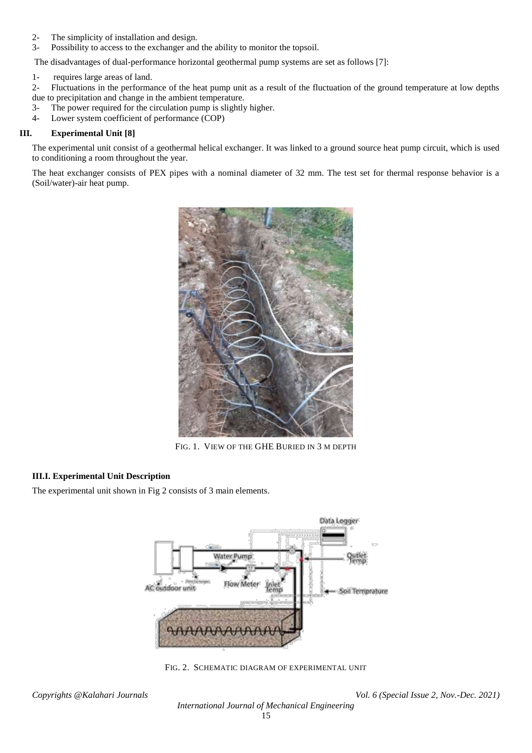- 2- The simplicity of installation and design.
- 3- Possibility to access to the exchanger and the ability to monitor the topsoil.

The disadvantages of dual-performance horizontal geothermal pump systems are set as follows [7]:

1- requires large areas of land.

2- Fluctuations in the performance of the heat pump unit as a result of the fluctuation of the ground temperature at low depths due to precipitation and change in the ambient temperature.

- 3- The power required for the circulation pump is slightly higher.
- 4- Lower system coefficient of performance (COP)

### **III. Experimental Unit [8]**

The experimental unit consist of a geothermal helical exchanger. It was linked to a ground source heat pump circuit, which is used to conditioning a room throughout the year.

The heat exchanger consists of PEX pipes with a nominal diameter of 32 mm. The test set for thermal response behavior is a (Soil/water)-air heat pump.



FIG. 1. VIEW OF THE GHE BURIED IN 3 M DEPTH

# **III.I. Experimental Unit Description**

The experimental unit shown in Fig 2 consists of 3 main elements.



FIG. 2. SCHEMATIC DIAGRAM OF EXPERIMENTAL UNIT

*International Journal of Mechanical Engineering*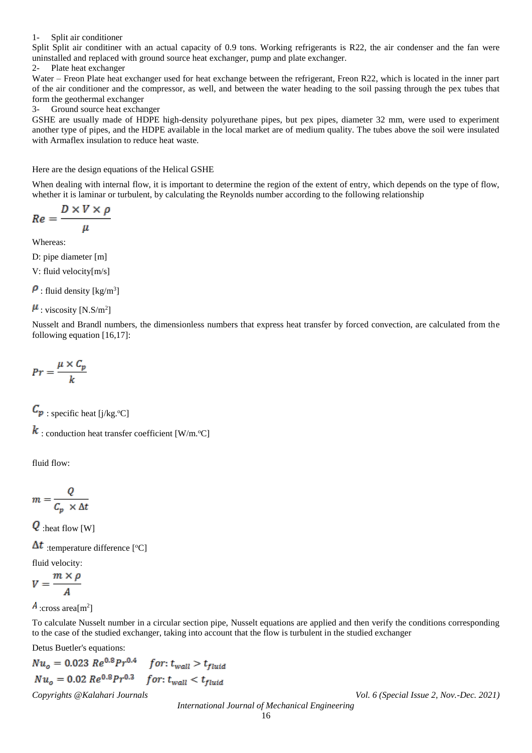#### 1- Split air conditioner

Split Split air conditiner with an actual capacity of 0.9 tons. Working refrigerants is R22, the air condenser and the fan were uninstalled and replaced with ground source heat exchanger, pump and plate exchanger.

2- Plate heat exchanger

Water – Freon Plate heat exchanger used for heat exchange between the refrigerant, Freon R22, which is located in the inner part of the air conditioner and the compressor, as well, and between the water heading to the soil passing through the pex tubes that form the geothermal exchanger

3- Ground source heat exchanger

GSHE are usually made of HDPE high-density polyurethane pipes, but pex pipes, diameter 32 mm, were used to experiment another type of pipes, and the HDPE available in the local market are of medium quality. The tubes above the soil were insulated with Armaflex insulation to reduce heat waste.

Here are the design equations of the Helical GSHE

When dealing with internal flow, it is important to determine the region of the extent of entry, which depends on the type of flow, whether it is laminar or turbulent, by calculating the Reynolds number according to the following relationship

$$
Re = \frac{D \times V \times \rho}{\mu}
$$

Whereas:

D: pipe diameter [m]

V: fluid velocity[m/s]

: fluid density [kg/m<sup>3</sup>]

: viscosity [N.S/m<sup>2</sup>]

Nusselt and Brandl numbers, the dimensionless numbers that express heat transfer by forced convection, are calculated from the following equation [16,17]:

$$
Pr = \frac{\mu \times C_p}{k}
$$

 $\mathcal{C}_{p}$ : specific heat [j/kg.<sup>o</sup>C]

 $\boldsymbol{k}$ : conduction heat transfer coefficient [W/m.<sup>o</sup>C]

fluid flow:

$$
m = \frac{Q}{C_p \times \Delta t}
$$

 $\overline{Q}$ :heat flow [W]

:temperature difference [°C]

fluid velocity:  $\sim$ 

$$
V = \frac{m \times p}{A}
$$

:cross area[m<sup>2</sup> ]

To calculate Nusselt number in a circular section pipe, Nusselt equations are applied and then verify the conditions corresponding to the case of the studied exchanger, taking into account that the flow is turbulent in the studied exchanger

Detus Buetler's equations:

$$
Nu_o = 0.023 \, Re^{0.8} Pr^{0.4} \quad \text{for: } t_{wall} > t_{fluid}
$$
\n
$$
Nu_o = 0.02 \, Re^{0.8} Pr^{0.3} \quad \text{for: } t_{wall} < t_{fluid}
$$
\n
$$
Copyrights \, @Kalahari \, Journals
$$
\n
$$
International \, Journal \, of \, Mechanical \, Engineering
$$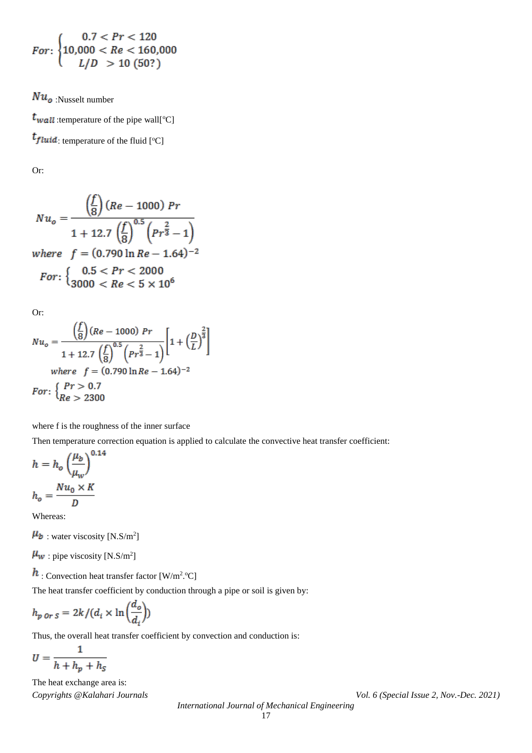$$
For: \begin{cases} 0.7 < Pr < 120 \\ 10,000 < Re < 160,000 \\ L/D > 10 \ (50?) \end{cases}
$$

 $Nu_o$ :Nusselt number

 $t_{wall}$ :temperature of the pipe wall[°C] : temperature of the fluid [°C]

Or:

$$
Nu_o = \frac{\left(\frac{f}{8}\right)(Re - 1000)Pr}{1 + 12.7\left(\frac{f}{8}\right)^{0.5}\left(Pr^{\frac{2}{3}} - 1\right)}
$$
  
where  $f = (0.790 \ln Re - 1.64)^{-2}$   
For:  $\left\{\n\begin{array}{l}\n0.5 < Pr < 2000 \\
3000 < Re < 5 \times 10^6\n\end{array}\n\right.$ 

Or:

$$
Nu_o = \frac{\left(\frac{f}{8}\right)(Re - 1000) Pr}{1 + 12.7 \left(\frac{f}{8}\right)^{0.5} \left(p_r \frac{2}{3} - 1\right)} \left[1 + \left(\frac{D}{L}\right)^{\frac{2}{3}}\right]
$$
  
where  $f = (0.790 \ln Re - 1.64)^{-2}$   
For:  $\left\{\begin{array}{l} Pr > 0.7\\ Re > 2300 \end{array}\right\}$ 

where f is the roughness of the inner surface

Then temperature correction equation is applied to calculate the convective heat transfer coefficient:

$$
h = h_o \left(\frac{\mu_b}{\mu_w}\right)^{0.14}
$$

$$
h_o = \frac{Nu_0 \times K}{D}
$$

Whereas:

: water viscosity [N.S/m<sup>2</sup> ]

: pipe viscosity [N.S/m<sup>2</sup>]

: Convection heat transfer factor  $[W/m^2$ .<sup>o</sup>C]

The heat transfer coefficient by conduction through a pipe or soil is given by:

$$
h_{p \text{ or } S} = 2k/(d_i \times \ln\left(\frac{d_o}{d_i}\right))
$$

Thus, the overall heat transfer coefficient by convection and conduction is:

$$
U = \frac{1}{h + h_p + h_S}
$$

*Copyrights @Kalahari Journals Vol. 6 (Special Issue 2, Nov.-Dec. 2021)* The heat exchange area is: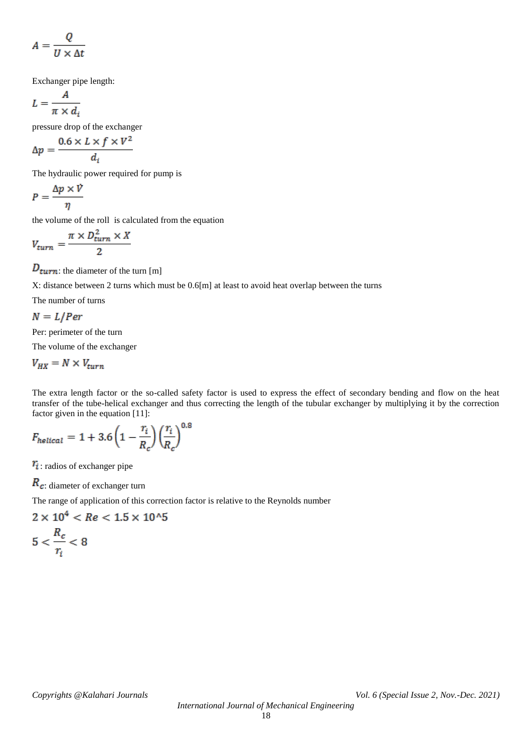$$
A = \frac{Q}{U \times \Delta t}
$$

Exchanger pipe length:

$$
L = \frac{A}{\pi \times d_i}
$$

pressure drop of the exchanger

$$
\Delta p = \frac{0.6 \times L \times f \times V^2}{d_i}
$$

The hydraulic power required for pump is

$$
P = \frac{\Delta p \times V}{\eta}
$$

the volume of the roll is calculated from the equation

$$
V_{turn} = \frac{\pi \times D_{turn}^2 \times X}{2}
$$

 $D_{turn}$ : the diameter of the turn [m]

X: distance between 2 turns which must be 0.6[m] at least to avoid heat overlap between the turns

The number of turns

$$
N = L/Per
$$

Per: perimeter of the turn

The volume of the exchanger

 $V_{HX} = N \times V_{turn}$ 

The extra length factor or the so-called safety factor is used to express the effect of secondary bending and flow on the heat transfer of the tube-helical exchanger and thus correcting the length of the tubular exchanger by multiplying it by the correction factor given in the equation [\[1](file:///D:/University/PhD/Geothermal/PHD-R/البعث/حساب%20الكتلة%20التخزينية%20لمبادل%20جيوحراري%20أنبوبي%20حلزوني%20في%20دارة%20المضخة%20الحرارية/Articles/Used/Numerical%20simulation%20for%20the%20optimum%20design%20of%20ground%20source%20heat.pdf)1[\]:](file:///D:/University/PhD/Geothermal/PHD-R/البعث/حساب%20الكتلة%20التخزينية%20لمبادل%20جيوحراري%20أنبوبي%20حلزوني%20في%20دارة%20المضخة%20الحرارية/Articles/Used/Numerical%20simulation%20for%20the%20optimum%20design%20of%20ground%20source%20heat.pdf)

$$
F_{helical} = 1 + 3.6 \left(1 - \frac{r_i}{R_c}\right) \left(\frac{r_i}{R_c}\right)^{0.8}
$$

 $\tau_i$ : radios of exchanger pipe

 $R_c$ : diameter of exchanger turn

The range of application of this correction factor is relative to the Reynolds number

$$
2 \times 10^4 < Re < 1.5 \times 10^6
$$
\n
$$
5 < \frac{R_c}{r_i} < 8
$$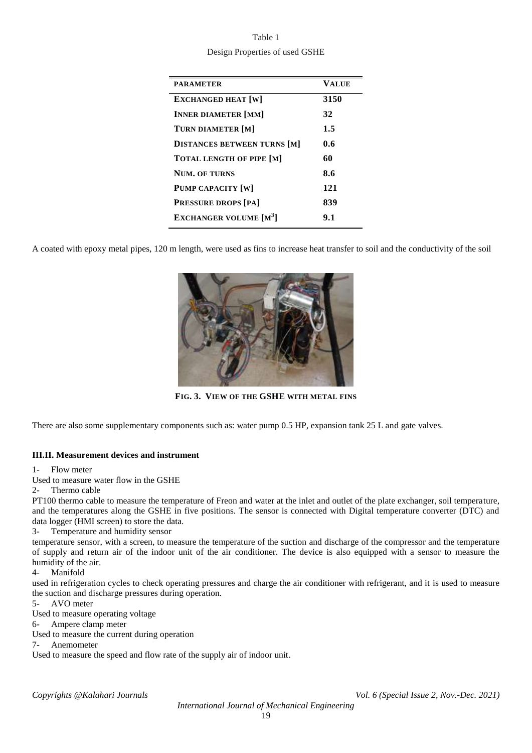| Table 1                        |
|--------------------------------|
| Design Properties of used GSHE |

| <b>PARAMETER</b>                          | VALUE |
|-------------------------------------------|-------|
| <b>EXCHANGED HEAT [W]</b>                 | 3150  |
| <b>INNER DIAMETER [MM]</b>                | 32    |
| TURN DIAMETER [M]                         | 1.5   |
| <b>DISTANCES BETWEEN TURNS [M]</b>        | 0.6   |
| <b>TOTAL LENGTH OF PIPE [M]</b>           | 60    |
| <b>NUM. OF TURNS</b>                      | 8.6   |
| <b>PUMP CAPACITY [W]</b>                  | 121   |
| <b>PRESSURE DROPS [PA]</b>                | 839   |
| <b>EXCHANGER VOLUME</b> [M <sup>3</sup> ] | 9.1   |
|                                           |       |

A coated with epoxy metal pipes, 120 m length, were used as fins to increase heat transfer to soil and the conductivity of the soil



**FIG. 3. VIEW OF THE GSHE WITH METAL FINS**

There are also some supplementary components such as: water pump 0.5 HP, expansion tank 25 L and gate valves.

# **III.II. Measurement devices and instrument**

1- Flow meter

Used to measure water flow in the GSHE

2- Thermo cable

PT100 thermo cable to measure the temperature of Freon and water at the inlet and outlet of the plate exchanger, soil temperature, and the temperatures along the GSHE in five positions. The sensor is connected with Digital temperature converter (DTC) and data logger (HMI screen) to store the data.

3- Temperature and humidity sensor

temperature sensor, with a screen, to measure the temperature of the suction and discharge of the compressor and the temperature of supply and return air of the indoor unit of the air conditioner. The device is also equipped with a sensor to measure the humidity of the air.

4- Manifold

used in refrigeration cycles to check operating pressures and charge the air conditioner with refrigerant, and it is used to measure the suction and discharge pressures during operation.

5- AVO meter

Used to measure operating voltage

6- Ampere clamp meter

Used to measure the current during operation

7- Anemometer

Used to measure the speed and flow rate of the supply air of indoor unit.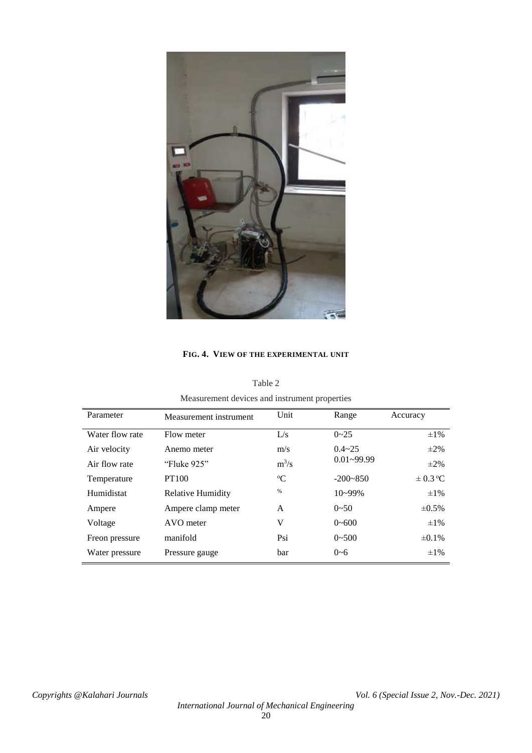

# **FIG. 4. VIEW OF THE EXPERIMENTAL UNIT**

| Measurement devices and instrument properties |                          |                           |              |              |  |  |
|-----------------------------------------------|--------------------------|---------------------------|--------------|--------------|--|--|
| Parameter                                     | Measurement instrument   | Unit                      | Range        | Accuracy     |  |  |
| Water flow rate                               | Flow meter               | L/s                       | $0 - 25$     | $\pm 1\%$    |  |  |
| Air velocity                                  | Anemo meter              |                           | $0.4 - 25$   | $\pm 2\%$    |  |  |
| Air flow rate                                 | "Fluke 925"              | $0.01 - 99.99$<br>$m^3/s$ |              | $\pm 2\%$    |  |  |
| Temperature                                   | <b>PT100</b>             | $\rm ^{o}C$               | $-200 - 850$ | $\pm 0.3$ °C |  |  |
| Humidistat                                    | <b>Relative Humidity</b> | %                         | $10 - 99\%$  | $\pm 1\%$    |  |  |
| Ampere                                        | Ampere clamp meter       | A                         | $0 - 50$     | $\pm 0.5\%$  |  |  |
| Voltage                                       | AVO meter                | V                         | $0 - 600$    | $\pm 1\%$    |  |  |
| Freon pressure                                | manifold                 | Psi                       | $0 - 500$    | $\pm 0.1\%$  |  |  |
| Water pressure                                | Pressure gauge           | bar                       | $0 - 6$      | $\pm 1\%$    |  |  |

Table 2 Measurement devices and instrument properties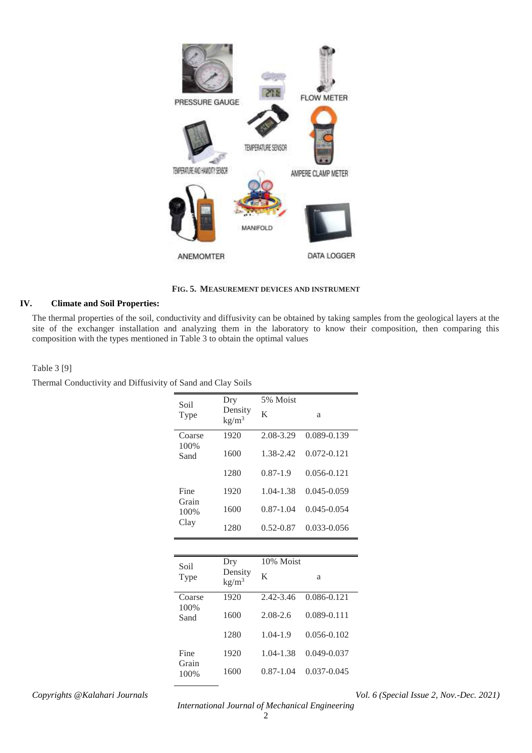

**FIG. 5. MEASUREMENT DEVICES AND INSTRUMENT**

# **IV. Climate and Soil Properties:**

The thermal properties of the soil, conductivity and diffusivity can be obtained by taking samples from the geological layers at the site of the exchanger installation and analyzing them in the laboratory to know their composition, then comparing this composition with the types mentioned in Table 3 to obtain the optimal values

## Table 3 [9]

Thermal Conductivity and Diffusivity of Sand and Clay Soils

| Soil          | Dry                          | 5% Moist      |                 |
|---------------|------------------------------|---------------|-----------------|
| Type          | Density<br>kg/m <sup>3</sup> | K             | a               |
| Coarse        | 1920                         | 2.08-3.29     | 0.089-0.139     |
| 100%<br>Sand  | 1600                         | 1.38-2.42     | $0.072 - 0.121$ |
|               | 1280                         | $0.87 - 1.9$  | $0.056 - 0.121$ |
| Fine          | 1920                         | 1.04-1.38     | 0.045-0.059     |
| Grain<br>100% | 1600                         | $0.87 - 1.04$ | $0.045 - 0.054$ |
| Clay          | 1280                         | $0.52 - 0.87$ | 0.033-0.056     |
|               |                              |               |                 |
| Soil          | Dry                          | 10% Moist     |                 |
| Type          | Density<br>kg/m <sup>3</sup> | K             | a               |
| Coarse        | 1920                         | 2.42-3.46     | 0.086-0.121     |
| 100%<br>Sand  | 1600                         | $2.08 - 2.6$  | 0.089-0.111     |
|               | 1280                         | $1.04 - 1.9$  | $0.056 - 0.102$ |
| Fine          | 1920                         | 1.04-1.38     | 0.049-0.037     |

*Copyrights @Kalahari Journals Vol. 6 (Special Issue 2, Nov.-Dec. 2021)*

1600 0.87-1.04 0.037-0.045

Grain 100%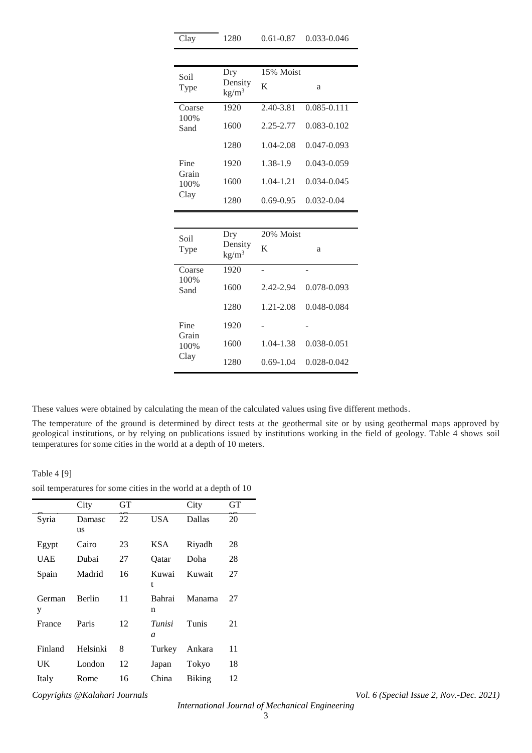| Soil                  | Dry                          | 15% Moist     |                 |  |
|-----------------------|------------------------------|---------------|-----------------|--|
| Type                  | Density<br>kg/m <sup>3</sup> | K             | a               |  |
| Coarse<br>100%        | 1920                         | 2.40-3.81     | $0.085 - 0.111$ |  |
| Sand                  | 1600                         | 2.25-2.77     | 0.083-0.102     |  |
|                       | 1280                         | 1.04-2.08     | $0.047 - 0.093$ |  |
| Fine                  | 1920                         | 1.38-1.9      | $0.043 - 0.059$ |  |
| Grain<br>100%<br>Clay | 1600                         | 1.04-1.21     | $0.034 - 0.045$ |  |
|                       | 1280                         | $0.69 - 0.95$ | 0.032-0.04      |  |
|                       |                              |               |                 |  |
| Soil                  | Dry                          | 20% Moist     |                 |  |
| Type                  | Density<br>kg/m <sup>3</sup> | K             | a               |  |
| Coarse                | 1920                         |               |                 |  |
| 100%<br>Sand          | 1600                         | 2.42-2.94     | 0.078-0.093     |  |
|                       | 1280                         | $1.21 - 2.08$ | 0.048-0.084     |  |
| Fine<br>Grain         | 1920                         |               |                 |  |

Clay 1280 0.61-0.87 0.033-0.046

| Soil<br>Type   | <b>L</b><br>Density<br>kg/m <sup>3</sup> | $20/0$ <i>IVIOISL</i><br>K | a               |
|----------------|------------------------------------------|----------------------------|-----------------|
| Coarse<br>100% | 1920                                     |                            |                 |
| Sand           | 1600                                     | 2.42-2.94                  | 0.078-0.093     |
|                | 1280                                     | 1.21-2.08                  | $0.048 - 0.084$ |
| Fine           | 1920                                     |                            |                 |
| Grain<br>100%  | 1600                                     | 1.04-1.38                  | 0.038-0.051     |
| Clay           | 1280                                     | $0.69 - 1.04$              | 0.028-0.042     |

These values were obtained by calculating the mean of the calculated values using five different methods.

The temperature of the ground is determined by direct tests at the geothermal site or by using geothermal maps approved by geological institutions, or by relying on publications issued by institutions working in the field of geology. Table 4 shows soil temperatures for some cities in the world at a depth of 10 meters.

Table 4 [9]

| soil temperatures for some cities in the world at a depth of 10 |  |  |  |  |
|-----------------------------------------------------------------|--|--|--|--|
|-----------------------------------------------------------------|--|--|--|--|

|             | City         | GТ |                          | City          | GТ |
|-------------|--------------|----|--------------------------|---------------|----|
| Syria       | Damasc<br>us | 22 | USA                      | Dallas        | 20 |
| Egypt       | Cairo        | 23 | KSA                      | Riyadh        | 28 |
| <b>UAE</b>  | Dubai        | 27 | Oatar                    | Doha          | 28 |
| Spain       | Madrid       | 16 | Kuwai<br>t               | Kuwait        | 27 |
| German<br>у | Berlin       | 11 | Bahrai<br>n              | Manama        | 27 |
| France      | Paris        | 12 | Tunisi<br>$\overline{a}$ | Tunis         | 21 |
| Finland     | Helsinki     | 8  | Turkey                   | Ankara        | 11 |
| UK          | London       | 12 | Japan                    | Tokyo         | 18 |
| Italy       | Rome         | 16 | China                    | <b>Biking</b> | 12 |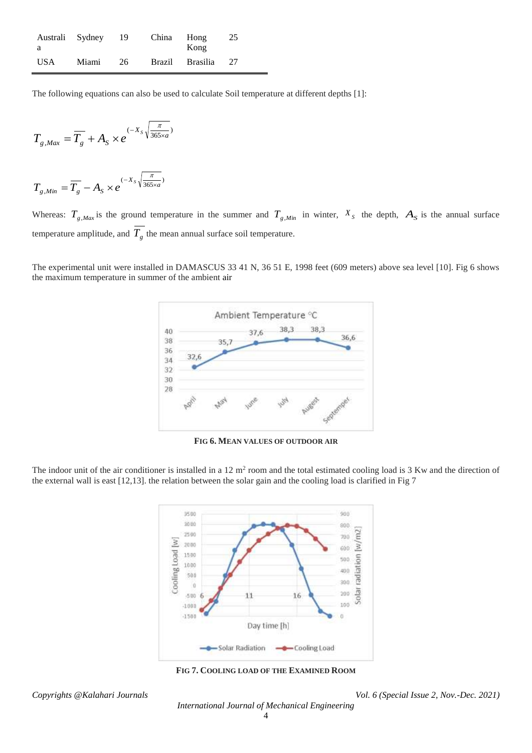| Australi Sydney |       | - 19 | China  | Hong             | 25  |
|-----------------|-------|------|--------|------------------|-----|
| - a<br>USA      | Miami | 26   | Brazil | Kong<br>Brasilia | -27 |
|                 |       |      |        |                  |     |

The following equations can also be used to calculate Soil temperature at different depths [1]:

$$
T_{g,Max} = \overline{T_g} + A_S \times e^{(-X_S \sqrt{\frac{\pi}{365 \times a}})}
$$

$$
T_{g,Min} = \overline{T_g} - A_S \times e^{(-X_S \sqrt{\frac{\pi}{365 \times a}})}
$$

Whereas:  $T_{g,Max}$  is the ground temperature in the summer and  $T_{g,Min}$  in winter,  $X_s$  the depth,  $A_s$  is the annual surface temperature amplitude, and  $T_g$  the mean annual surface soil temperature.

The experimental unit were installed in DAMASCUS 33 41 N, 36 51 E, 1998 feet (609 meters) above sea level [10]. Fig 6 shows the maximum temperature in summer of the ambient air



**FIG 6. MEAN VALUES OF OUTDOOR AIR**

The indoor unit of the air conditioner is installed in a  $12 \text{ m}^2$  room and the total estimated cooling load is 3 Kw and the direction of the external wall is east [12,13]. the relation between the solar gain and the cooling load is clarified in Fig 7



**FIG 7. COOLING LOAD OF THE EXAMINED ROOM**

*Copyrights @Kalahari Journals Vol. 6 (Special Issue 2, Nov.-Dec. 2021)*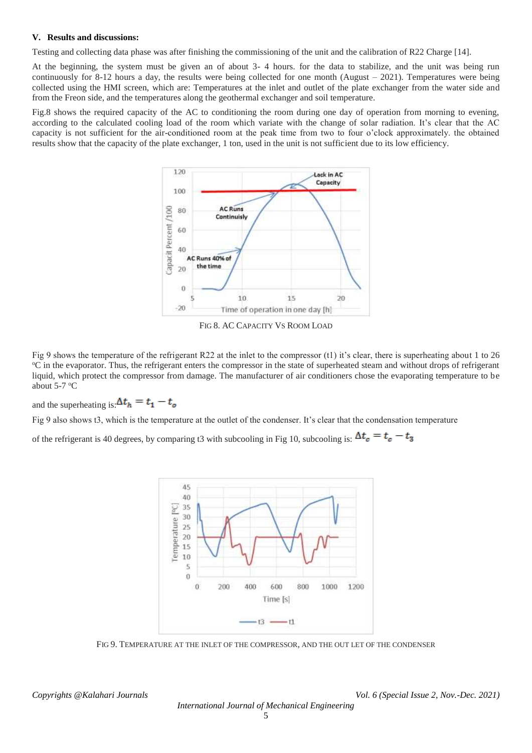## **V. Results and discussions:**

Testing and collecting data phase was after finishing the commissioning of the unit and the calibration of R22 Charge [14].

At the beginning, the system must be given an of about 3- 4 hours. for the data to stabilize, and the unit was being run continuously for 8-12 hours a day, the results were being collected for one month (August  $-2021$ ). Temperatures were being collected using the HMI screen, which are: Temperatures at the inlet and outlet of the plate exchanger from the water side and from the Freon side, and the temperatures along the geothermal exchanger and soil temperature.

Fig.8 shows the required capacity of the AC to conditioning the room during one day of operation from morning to evening, according to the calculated cooling load of the room which variate with the change of solar radiation. It's clear that the AC capacity is not sufficient for the air-conditioned room at the peak time from two to four o'clock approximately. the obtained results show that the capacity of the plate exchanger, 1 ton, used in the unit is not sufficient due to its low efficiency.



FIG 8. AC CAPACITY VS ROOM LOAD

Fig 9 shows the temperature of the refrigerant R22 at the inlet to the compressor (t1) it's clear, there is superheating about 1 to 26 <sup>o</sup>C in the evaporator. Thus, the refrigerant enters the compressor in the state of superheated steam and without drops of refrigerant liquid, which protect the compressor from damage. The manufacturer of air conditioners chose the evaporating temperature to be about  $5-7$  °C

and the superheating is:  $\Delta t_h = t_1 - t_o$ 

Fig 9 also shows t3, which is the temperature at the outlet of the condenser. It's clear that the condensation temperature

of the refrigerant is 40 degrees, by comparing t3 with subcooling in Fig 10, subcooling is:  $\Delta t_c = t_c - t_3$ 



FIG 9. TEMPERATURE AT THE INLET OF THE COMPRESSOR, AND THE OUT LET OF THE CONDENSER

*Copyrights @Kalahari Journals Vol. 6 (Special Issue 2, Nov.-Dec. 2021)*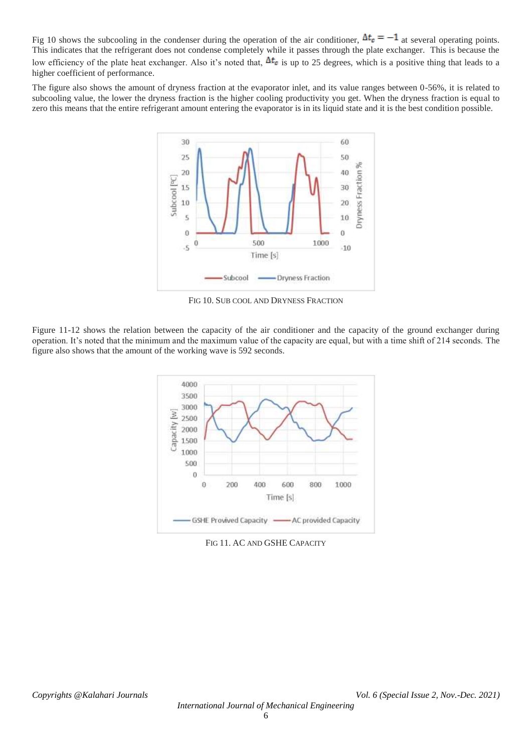Fig 10 shows the subcooling in the condenser during the operation of the air conditioner,  $\Delta t_c = -1$  at several operating points. This indicates that the refrigerant does not condense completely while it passes through the plate exchanger. This is because the low efficiency of the plate heat exchanger. Also it's noted that,  $\Delta t_c$  is up to 25 degrees, which is a positive thing that leads to a higher coefficient of performance.

The figure also shows the amount of dryness fraction at the evaporator inlet, and its value ranges between 0-56%, it is related to subcooling value, the lower the dryness fraction is the higher cooling productivity you get. When the dryness fraction is equal to zero this means that the entire refrigerant amount entering the evaporator is in its liquid state and it is the best condition possible.



FIG 10. SUB COOL AND DRYNESS FRACTION

Figure 11-12 shows the relation between the capacity of the air conditioner and the capacity of the ground exchanger during operation. It's noted that the minimum and the maximum value of the capacity are equal, but with a time shift of 214 seconds. The figure also shows that the amount of the working wave is 592 seconds.



FIG 11. AC AND GSHE CAPACITY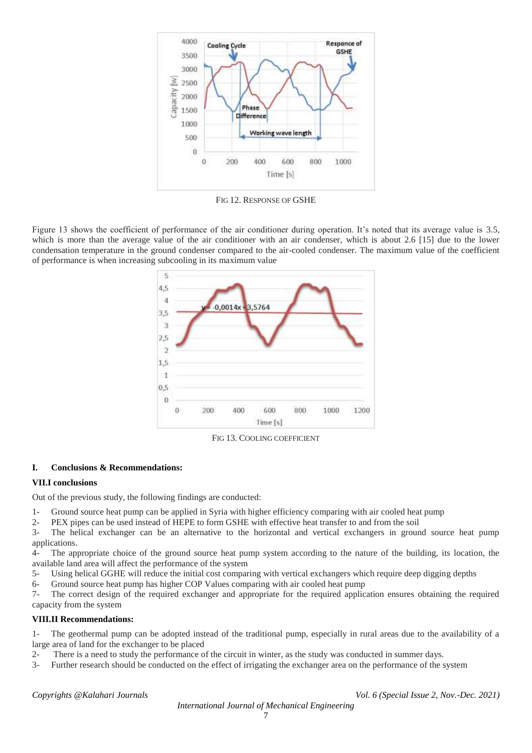

FIG 12. RESPONSE OF GSHE

Figure 13 shows the coefficient of performance of the air conditioner during operation. It's noted that its average value is 3.5, which is more than the average value of the air conditioner with an air condenser, which is about 2.6 [15] due to the lower condensation temperature in the ground condenser compared to the air-cooled condenser. The maximum value of the coefficient of performance is when increasing subcooling in its maximum value



FIG 13. COOLING COEFFICIENT

# **I. Conclusions & Recommendations:**

# **VII.I conclusions**

Out of the previous study, the following findings are conducted:

- 1- Ground source heat pump can be applied in Syria with higher efficiency comparing with air cooled heat pump
- 2- PEX pipes can be used instead of HEPE to form GSHE with effective heat transfer to and from the soil

3- The helical exchanger can be an alternative to the horizontal and vertical exchangers in ground source heat pump applications.

4- The appropriate choice of the ground source heat pump system according to the nature of the building, its location, the available land area will affect the performance of the system

- 5- Using helical GGHE will reduce the initial cost comparing with vertical exchangers which require deep digging depths
- 6- Ground source heat pump has higher COP Values comparing with air cooled heat pump

7- The correct design of the required exchanger and appropriate for the required application ensures obtaining the required capacity from the system

# **VIII.II Recommendations:**

1- The geothermal pump can be adopted instead of the traditional pump, especially in rural areas due to the availability of a large area of land for the exchanger to be placed

- 2- There is a need to study the performance of the circuit in winter, as the study was conducted in summer days.
- 3- Further research should be conducted on the effect of irrigating the exchanger area on the performance of the system